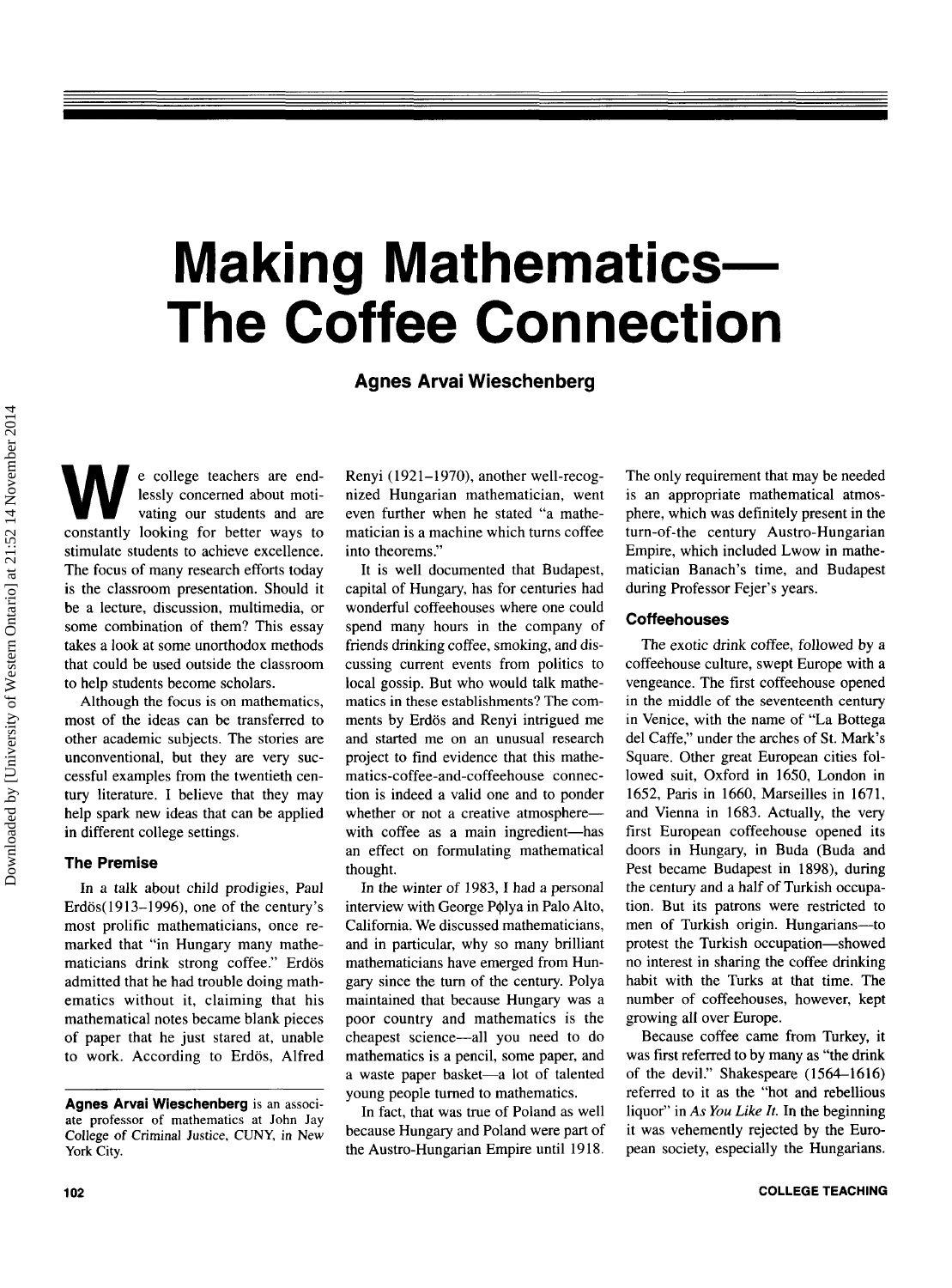# **Making Mathematics-The Coffee Connection**

**Agnes Arvai Wieschenberg** 

e college teachers are endlessly concerned about motivating our students and are constantly looking for better ways to stimulate students to achieve excellence. The focus of many research efforts today is the classroom presentation. Should it be a lecture, discussion, multimedia, or some combination of them? This essay takes a look at some unorthodox methods that could be used outside the classroom to help students become scholars.

Although the focus is on mathematics, most of the ideas can be transferred to other academic subjects. The stories are unconventional, but they are very successful examples from the twentieth century literature. I believe that they may help spark new ideas that can be applied in different college settings.

## **The Premise**

In a talk about child prodigies, Paul Erdös( $1913-1996$ ), one of the century's most prolific mathematicians, once remarked that "in Hungary many mathematicians drink strong coffee." Erdös admitted that he had trouble doing mathematics without it, claiming that his mathematical notes became blank pieces of paper that he just stared at, unable to work. According to Erdös, Alfred

Renyi (1921-1970), another well-recognized Hungarian mathematician, went even further when he stated "a mathematician is a machine which turns coffee into theorems."

It is well documented that Budapest, capital of Hungary, has for centuries had wonderful coffeehouses where one could spend many hours in the company of friends drinking coffee, smoking, and discussing current events from politics to local gossip. But who would talk mathematics in these establishments? The comments by Erdos and Renyi intrigued me and started me on an unusual research project to find evidence that this mathematics-coffee-and-coffeehouse connection is indeed a valid one and to ponder whether or not a creative atmospherewith coffee as a main ingredient-has an effect on formulating mathematical thought.

In the winter of 1983, I had a personal interview with George P@lya in Palo Alto, California. We discussed mathematicians, and in particular, why so many brilliant mathematicians have emerged from Hungary since the turn of the century. Polya maintained that because Hungary was a poor country and mathematics is the cheapest science-all you need to do mathematics is a pencil, some paper, and a waste paper basket-a lot of talented young people turned to mathematics.

In fact, that was true of Poland as well because Hungary and Poland were part of the Austro-Hungarian Empire until 1918.

The only requirement that may be needed is an appropriate mathematical atmosphere, which was definitely present in the turn-of-the century Austro-Hungarian Empire, which included Lwow in mathematician Banach's time, and Budapest during Professor Fejer's years.

### **Coffeehouses**

The exotic drink coffee, followed by **a**  coffeehouse culture, swept Europe with a vengeance. The first coffeehouse opened in the middle of the seventeenth century in Venice, with the name of "La Bottega del Caffe," under the arches of St. Mark's Square. Other great European cities followed suit, Oxford in 1650, London in 1652, Paris in 1660, Marseilles in 1671, and Vienna in 1683. Actually, the very first European coffeehouse opened its doors in Hungary, in Buda (Buda and Pest became Budapest in 1898), during the century and a half of Turkish occupation. But its patrons were restricted to men of Turkish origin. Hungarians--- to protest the Turkish occupation-showed no interest in sharing the coffee drinking habit with the Turks at that time. The number of coffeehouses, however, kept growing all over Europe.

Because coffee came from Turkey, it was first referred to by many as "the drink of the devil." Shakespeare (1564-1616) referred to it as the "hot and rebellious liquor" in **As** *You Like It.* In the beginning it was vehemently rejected by the European society, especially the Hungarians.

**Agnes Arvai Wieschenberg** is an associate professor of mathematics at John Jay College *of* Criminal *Justice,* CUNY, in New York City.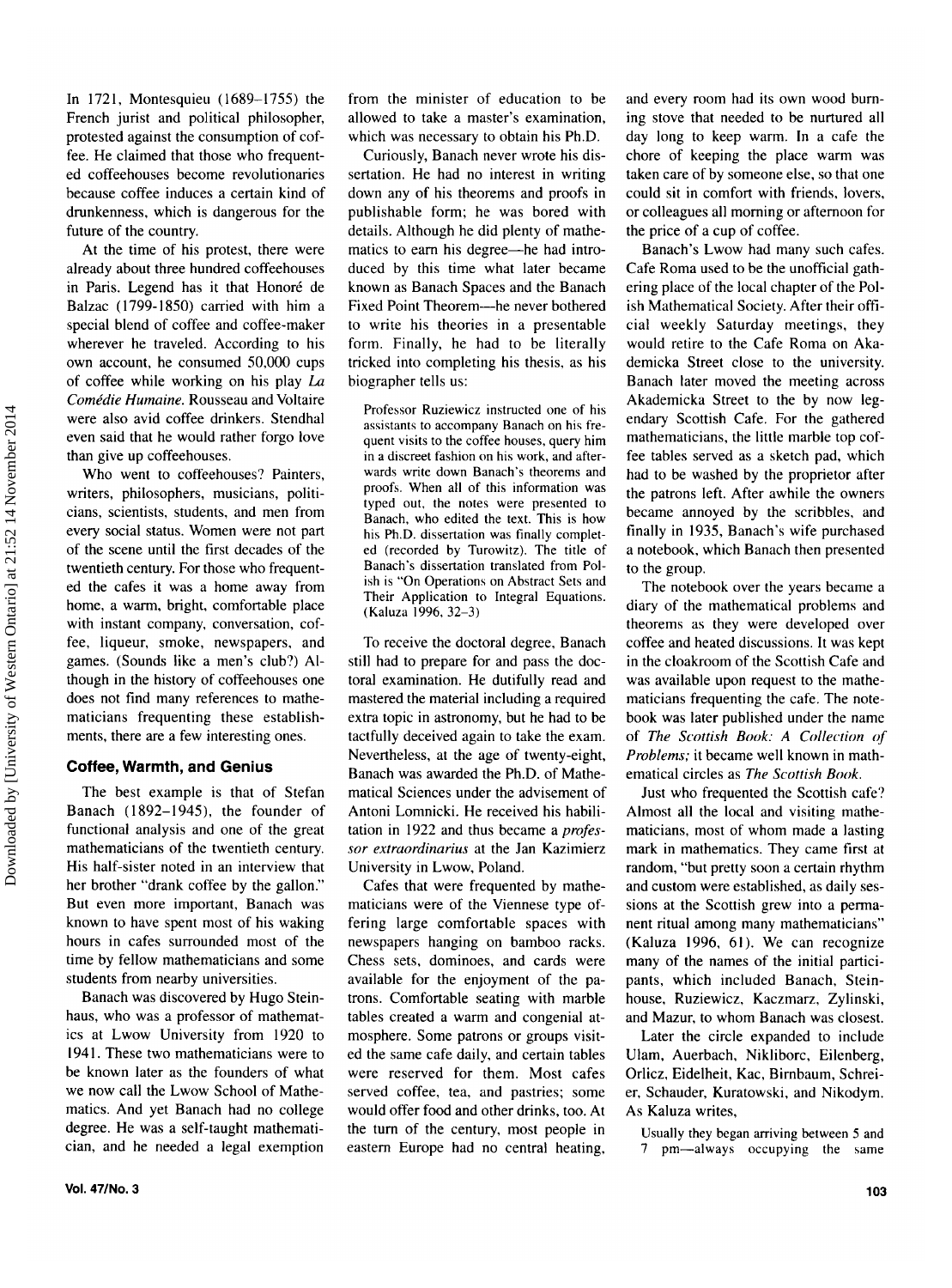In 1721, Montesquieu (1689–1755) the French jurist and political philosopher, protested against the consumption of coffee. He claimed that those who frequented coffeehouses become revolutionaries because coffee induces a certain kind of drunkenness, which is dangerous for the future of the country.

At the time of his protest, there were already about three hundred coffeehouses in Paris. Legend has it that Honoré de Balzac (1799-1850) carried with him a special blend of coffee and coffee-maker wherever he traveled. According to his own account, he consumed 50,000 cups of coffee while working on his play *La Comkdie Humaine.* Rousseau and Voltaire were also avid coffee drinkers. Stendhal even said that he would rather forgo love than give up coffeehouses.

Who went to coffeehouses? Painters, writers, philosophers, musicians, politicians, scientists, students, and men from every social status. Women were not part of the scene until the first decades of the twentieth century. For those who frequented the cafes it was a home away from home, a warm, bright, comfortable place with instant company, conversation, coffee, liqueur, smoke, newspapers, and games. (Sounds like a men's club?) Although in the history of coffeehouses one does not find many references to mathematicians frequenting these establishments, there are a few interesting ones.

### **Coffee, Warmth, and Genius**

The best example is that of Stefan Banach (1892-1943, the founder of functional analysis and one of the great mathematicians of the twentieth century. His half-sister noted in an interview that her brother "drank coffee by the gallon." But even more important, Banach was known to have spent most of his waking hours in cafes surrounded most of the time by fellow mathematicians and some students from nearby universities.

Banach was discovered by Hugo Steinhaus, who was a professor of mathematics at Lwow University from 1920 to 1941. These two mathematicians were to be known later as the founders of what we now call the Lwow School of Mathematics. And yet Banach had no college degree. He was a self-taught mathematician, and he needed a legal exemption from the minister of education to be allowed to take a master's examination, which was necessary to obtain his Ph.D.

Curiously, Banach never wrote his dissertation. He had no interest in writing down any of his theorems and proofs in publishable form; he was bored with details. Although he did plenty of mathematics to earn his degree—he had introduced by this time what later became known as Banach Spaces and the Banach Fixed Point Theorem-he never bothered to write his theories in a presentable form. Finally, he had to be literally tricked into completing his thesis, as his biographer tells us:

Professor Ruziewicz instructed one of his assistants to accompany Banach on his frequent visits to the coffee houses, query him in **a** discreet fashion on his work, and afterwards write down Banach's theorems and proofs. When all of this information was typed out, the notes were presented to Banach, who edited the text. This is how his Ph.D. dissertation was finally completed (recorded by Turowitz). The title of Banach's dissertation translated from Polish **is** "On Operations on Abstract Sets and Their Application to Integral Equations. (Kaluza 1996, 32-3)

To receive the doctoral degree, Banach still had to prepare for and pass the doctoral examination. He dutifully read and mastered the material including a required extra topic in astronomy, but he had to be tactfully deceived again to take the exam. Nevertheless, at the age of twenty-eight, Banach was awarded the Ph.D. of Mathematical Sciences under the advisement of Antoni Lomnicki. He received his habilitation in 1922 and thus became a *professor extruordinarius* at the Jan Kazimierz University in Lwow, Poland.

Cafes that were frequented by mathematicians were of the Viennese type offering large comfortable spaces with newspapers hanging on bamboo racks. Chess sets, dominoes, and cards were available for the enjoyment of the patrons. Comfortable seating with marble tables created a warm and congenial atmosphere. Some patrons or groups visited the same cafe daily, and certain tables were reserved for them. Most cafes served coffee, tea, and pastries; some would offer food and other drinks, too. At the turn of the century, most people in eastern Europe had no central heating, and every room had its own wood burning stove that needed to be nurtured all day long to keep warm. In a cafe the chore of keeping the place warm was taken care of by someone else, so that one could sit in comfort with friends, lovers, or colleagues all morning or afternoon for the price of a cup of coffee.

Banach's Lwow had many such cafes. Cafe Roma used to be the unofficial gathering place of the local chapter of the Polish Mathematical Society. After their official weekly Saturday meetings, they would retire to the Cafe Roma on Akademicka Street close to the university. Banach later moved the meeting across Akademicka Street to the by now legendary Scottish Cafe. For the gathered mathematicians, the little marble top coffee tables served as a sketch pad, which had to be washed by the proprietor after the patrons left. After awhile the owners became annoyed by the scribbles, and finally in 1935, Banach's wife purchased a notebook, which Banach then presented to the group.

The notebook over the years became a diary of the mathematical problems and theorems as they were developed over coffee and heated discussions. It was kept in the cloakroom of the Scottish Cafe and was available upon request to the mathematicians frequenting the cafe. The notebook was later published under the name of *The Scottish Book: A Collection* **cf**  *Problems;* it became well known in mathematical circles as *The Scottish Book.* 

Just who frequented the Scottish cafe? Almost all the local and visiting mathematicians, most of whom made a lasting mark in mathematics. They came first at random, "but pretty soon a certain rhythm and custom were established, as daily sessions at the Scottish grew into a permanent ritual among many mathematicians" (Kaluza 1996, 61). We can recognize many of the names of the initial participants, which included Banach, Steinhouse, Ruziewicz, Kaczmarz, Zylinski, and Mazur, to whom Banach was closest.

Later the circle expanded to include Ulam, Auerbach, Nikliborc, Eilenberg, Orlicz, Eidelheit, Kac, Birnbaum, Schreier, Schauder, Kuratowski, and Nikodym. As Kaluza writes,

Usually they began arriving between 5 and **7** pm-always occupying the same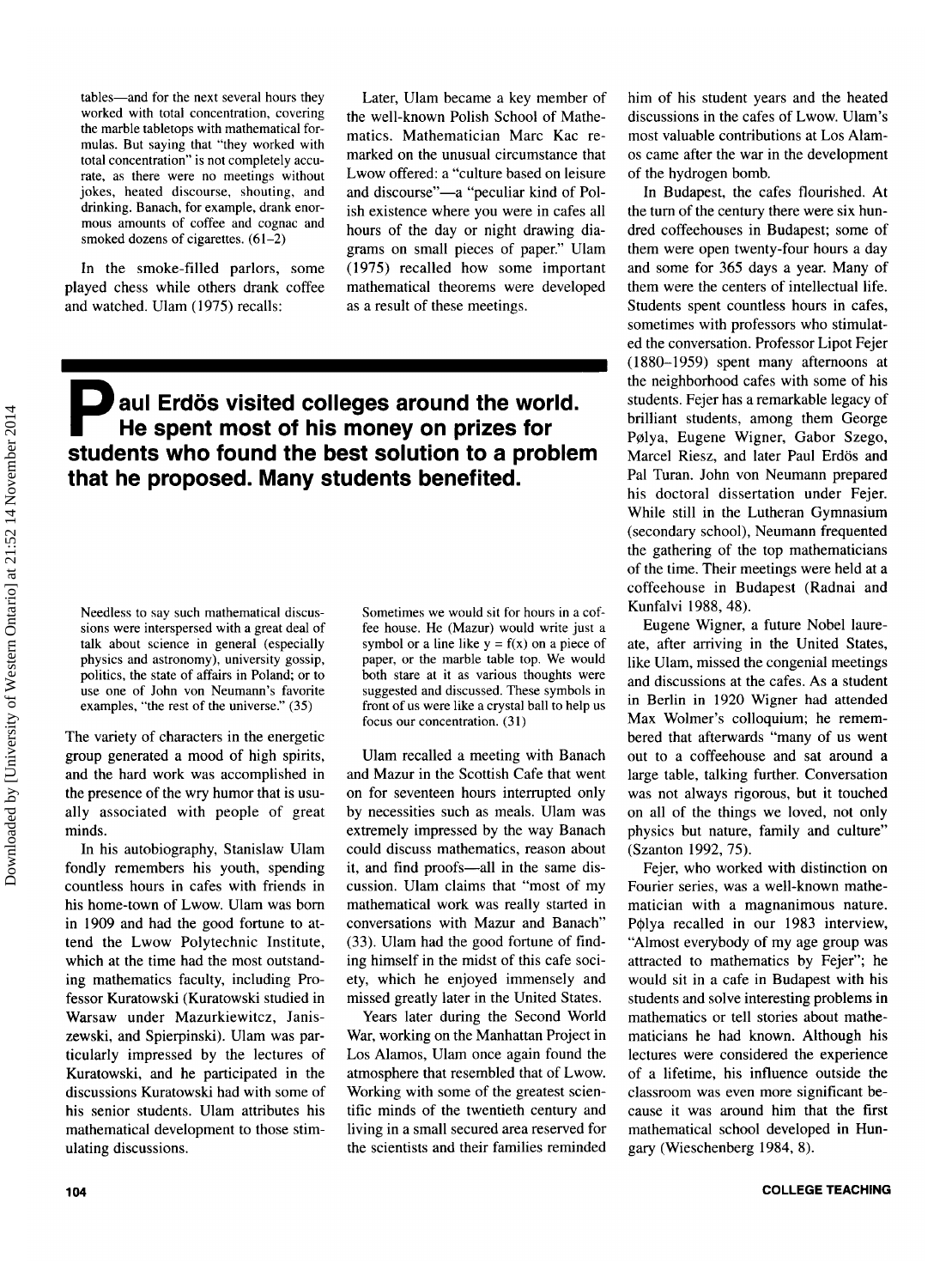worked with total concentration, covering the marble tabletops with mathematical formulas. But saying that "they worked with total concentration" is not completely accurate, as there were no meetings without jokes, heated discourse, shouting, and drinking. Banach, for example, drank enormous amounts of coffee and cognac and smoked dozens of cigarettes. **(61-2)** 

In the smoke-filled parlors, some played chess while others drank coffee and watched. Ulam (1975) recalls:

tables-and for the next several hours they Later, Ulam became a key member of the well-known Polish School of Mathematics. Mathematician Marc Kac remarked on the unusual circumstance that Lwow offered: a "culture based on leisure and discourse"—a "peculiar kind of Polish existence where you were in cafes all hours of the day or night drawing diagrams on small pieces of paper." Ulam (1975) recalled how some important mathematical theorems were developed as a result of these meetings.

**DauI Erdös visited colleges around the world. I D** aul Erdös visited colleges around the worl<br>He spent most of his money on prizes for<br>atudents who found the best solution to a prob **students who found the best solution to a problem that he proposed. Many students benefited.** 

Needless to say such mathematical discussions were interspersed with a great deal of talk about science in general (especially physics and astronomy), university gossip, politics, the state of affairs in Poland; or to use one of John von Neumann's favorite examples, "the rest of the universe." (35)

The variety of characters in the energetic group generated a mood of high spirits, and the hard work was accomplished in the presence of the wry humor that is usually associated with people of great minds.

In his autobiography, Stanislaw Ulam fondly remembers his youth, spending countless hours in cafes with friends in his home-town of Lwow. Ulam was born in 1909 and had the good fortune to attend the Lwow Polytechnic Institute, which at the time had the most outstanding mathematics faculty, including Professor Kuratowski (Kuratowski studied in Warsaw under Mazurkiewitcz, Janiszewski, and Spierpinski). Ulam was particularly impressed by the lectures of Kuratowski, and he participated in the discussions Kuratowski had with some of his senior students. Ulam attributes his mathematical development to those stimulating discussions.

Sometimes we would sit for hours in a coffee house. He (Mazur) would write just a symbol or a line like  $y = f(x)$  on a piece of paper, or the marble table top. We would both stare at it as various thoughts were suggested and discussed. These symbols in front of us were like a crystal ball to help us focus our concentration. (31)

Ulam recalled a meeting with Banach and Mazur in the Scottish Cafe that went on for seventeen hours interrupted only by necessities such as meals. Ulam was extremely impressed by the way Banach could discuss mathematics, reason about it, and find proofs-all in the same discussion. Ulam claims that "most of my mathematical work was really started in conversations with Mazur and Banach" (33). Ulam had the good fortune of finding himself in the midst of this cafe society, which he enjoyed immensely and missed greatly later in the United States.

Years later during the Second World War, working on the Manhattan Project in Los Alamos, Ulam once again found the atmosphere that resembled that of Lwow. Working with some of the greatest scientific minds of the twentieth century and living in a small secured area reserved for the scientists and their families reminded him of his student years and the heated discussions in the cafes of Lwow. Ulam's most valuable contributions at Los Alam-0s came after the war in the development of the hydrogen bomb.

In Budapest, the cafes flourished. At the turn of the century there were six hundred coffeehouses in Budapest; some of them were open twenty-four hours a day and some for 365 days a year. Many of them were the centers of intellectual life. Students spent countless hours in cafes, sometimes with professors who stimulated the conversation. Professor Lipot Fejer (1880-1959) spent many afternoons at the neighborhood cafes with some of his students. Fejer has a remarkable legacy of brilliant students, among them George Pglya, Eugene Wigner, Gabor Szego, Marcel Riesz, and later Paul Erdös and Pal Turan. John von Neumann prepared his doctoral dissertation under Fejer. While still in the Lutheran Gymnasium (secondary school), Neumann frequented the gathering of the top mathematicians of the time. Their meetings were held at a coffeehouse in Budapest (Radnai and Kunfalvi 1988, 48).

Eugene Wigner, a future Nobel laureate, after arriving in the United States, like Ulam, missed the congenial meetings and discussions at the cafes. As a student in Berlin **in** 1920 Wigner had attended Max Wolmer's colloquium; he remembered that afterwards "many of us went out to a coffeehouse and sat around a large table, talking further. Conversation was not always rigorous, but it touched on all of the things we loved, not only physics but nature, family and culture" (Szanton 1992, 75).

Feier, who worked with distinction on Fourier series, was a well-known mathematician with a magnanimous nature. Polya recalled in our 1983 interview, "Almost everybody of my age group was attracted to mathematics by Fejer"; he would sit in a cafe in Budapest with his students and solve interesting problems in mathematics or tell stories about mathematicians he had known. Although his lectures were considered the experience of a lifetime, his influence outside the classroom was even more significant because it was around him that the first mathematical school developed in Hun*gary* (Wieschenberg 1984, 8).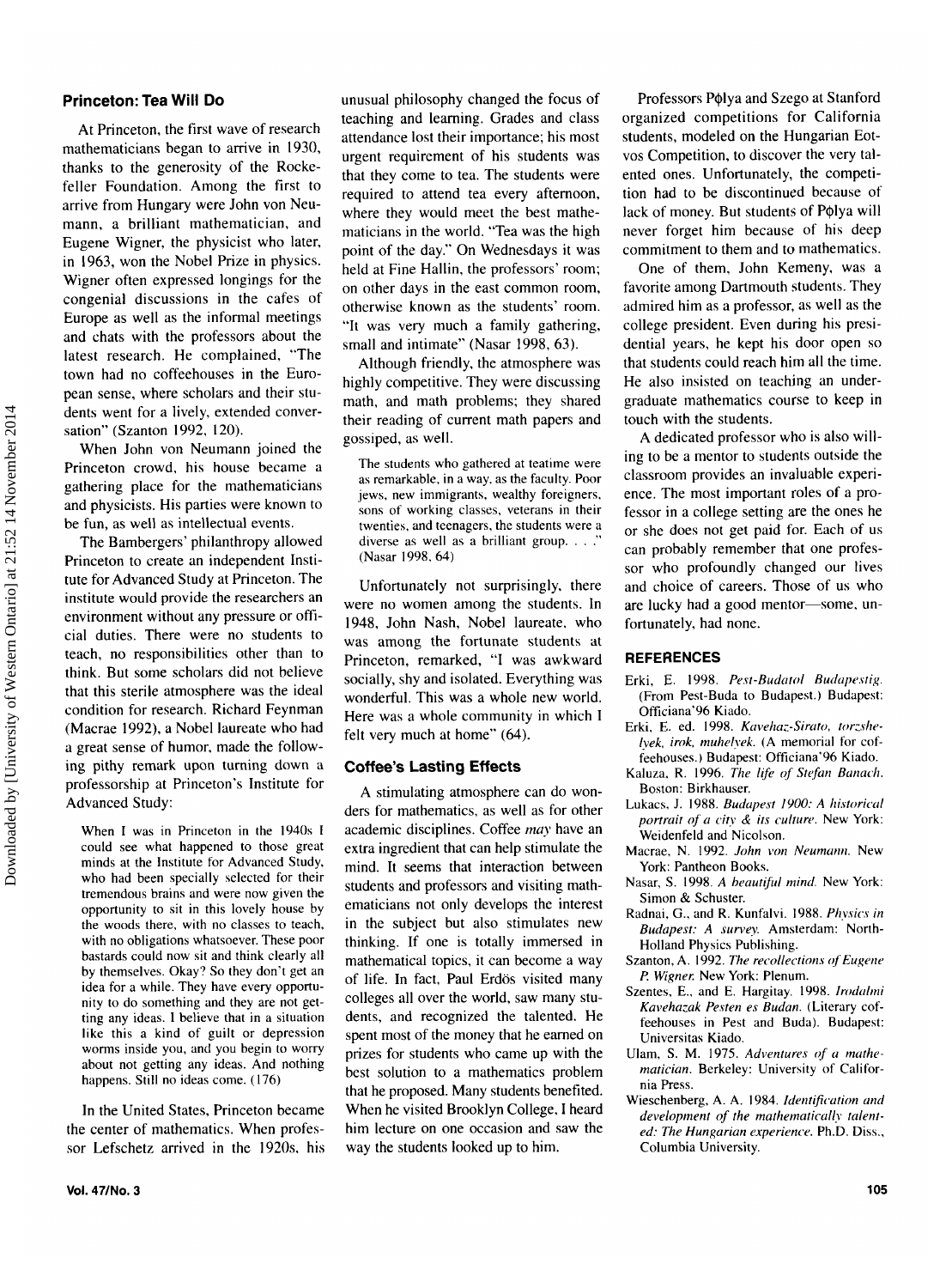## **Princeton: Tea Will Do**

At Princeton, the first wave of research mathematicians began to arrive in 1930, thanks to the generosity of the Rockefeller Foundation. Among the first to arrive from Hungary were John von Neumann, a brilliant mathematician, and Eugene Wigner, the physicist who later, in 1963, won the Nobel Prize in physics. Wigner often expressed longings for the congenial discussions in the cafes of Europe as well as the informal meetings and chats with the professors about the latest research. He complained, "The town had no coffeehouses in the European sense, where scholars and their students went for a lively, extended conversation" (Szanton **1992,** 120).

When John von Neumann joined the Princeton crowd, his house became a gathering place for the mathematicians and physicists. His parties were known to be fun, as well as intellectual events.

The Bambergers' philanthropy allowed Princeton to create an independent Institute for Advanced Study at Princeton. The institute would provide the researchers an environment without any pressure or official duties. There were no students to teach, no responsibilities other than to think. But some scholars did not believe that this sterile atmosphere was the ideal condition for research. Richard Feynman (Macrae 1992), a Nobel laureate who had a great sense of humor, made the following pithy remark upon turning down a professorship at Princeton's Institute for Advanced Study:

When I was in Princeton in the 1940s I could **see** what happened to those great minds at the Institute for Advanced Study, who had been specially selected for their tremendous brains and were now given the opportunity to sit in this lovely house by the woods there, with no classes to teach, with no obligations whatsoever. These poor bastards could now sit and think clearly **all**  by themselves. Okay? *So* they don't get an idea for a while. They have every opportunity to do something and they are not getting any ideas. I believe that in a situation like this a kind of guilt or depression worms inside you, and you begin to worry about not getting any ideas. And nothing happens. Still no ideas come. (176)

In the United States, Princeton became the center of mathematics. When professor Lefschetz arrived in the 1920s, his unusual philosophy changed the focus of teaching and learning. Grades and class attendance lost their importance; his most urgent requirement of his students was that they come to tea. The students were required to attend tea every afternoon, where they would meet the best mathematicians in the world. "Tea was the high point of the day." On Wednesdays it was held at Fine Hallin, the professors' room; on other days in the east common room, otherwise known as the students' room. "It was very much a family gathering, small and intimate" (Nasar 1998, 63).

Although friendly, the atmosphere was highly competitive. They were discussing math, and math problems; they shared their reading of current math papers and gossiped, as well.

The students who gathered at teatime were as remarkable, in a way, as the faculty. Poor jews, new immigrants, wealthy foreigners, sons of working classes, veterans in their twenties, and teenagers, the students were a diverse as well as a brilliant group.  $\ldots$ (Nasar 1998. 64)

Unfortunately not surprisingly, there were no women among the students. In 1948, John Nash, Nobel laureate, who was among the fortunate students at Princeton, remarked, "I was awkward socially, shy and isolated. Everything was wonderful. This was a whole new world. Here was a whole community in which **1**  felt very much at home" (64).

### **Coffee's Lasting Effects**

A stimulating atmosphere can do wonders for mathematics, as well as for other academic disciplines. Coffee *may* have an extra ingredient that can help stimulate the mind. It seems that interaction between students and professors and visiting mathematicians not only develops the interest in the subject but also stimulates new thinking. If one is totally immersed in mathematical topics, it can become a way of life. In fact, Paul Erdös visited many colleges all over the world, saw many students, and recognized the talented. He spent most of the money that he earned on prizes for students who came up with the best solution to a mathematics problem that he proposed. Many students benefited. When he visited Brooklyn College, I heard him lecture on one occasion and saw the way the students looked up to him.

Professors Polya and Szego at Stanford organized competitions for California students, modeled on the Hungarian Eotvos Competition, to discover the very talented ones. Unfortunately, the competition had to be discontinued because of lack of money. But students of Polya will never forget him because of his deep commitment to them and to mathematics.

One of them, John Kemeny, was a favorite among Dartmouth students. They admired him as a professor, as well as the college president. Even during his presidential years, he kept his door open so that students could reach him all the time. He also insisted on teaching an undergraduate mathematics course to keep in touch with the students.

A dedicated professor who is **also** willing to be a mentor to students outside the classroom provides an invaluable experience. The most important roles of a professor in a college setting are the ones he or she does not get paid for. Each of us can probably remember that one professor who profoundly changed our lives and choice of careers. Those of us who are lucky had a good mentor-some, unfortunately, had none.

#### **REFERENCES**

- Erki, E. 1998. Pest-Budatol Budapestig. (From Pest-Buda to Budapest.) Budapest: Officiana'96 Kiado.
- Erki, E. ed. 1998. Kavehaz-Sirato, torzshe*lyek, irok, muhelyek.* (A memorial for coffeehouses.) Budapest: Officiana'96 Kiado.
- Kaluza, R. 1996. *The lifr of Stefan Banuch.*  Boston: Birkhauser.
- Lukacs, J. 1988. *Budapest 1900: A historicid portrait of a city & its culture.* New York: Weidenfeld and Nicolson.
- Macrae, N. 1992. *John von Neumann*. New York: Pantheon Books.
- Nasar, **S.** 1998. *A* beautiful *mind.* New York: Simon & Schuster.
- Radnai, G., and R. Kunfalvi. 1988. *Physics in Budapest: A survey.* Amsterdam: North-Holland Physics Publishing.
- Szanton, A. 1992. *The recollections of Eugene F! Wipe,:* New York: Plenum.
- Szentes, E., and E. Hargitay. 1998. *Irodalmi Kavehazak Pesten* **es** *Budan.* (Literary coffeehouses in Pest and Buda). Budapest: Universitas Kiado.
- Ulam, S. M. 1975. Adventures of a mathe*matician.* Berkeley: University of California Press.
- Wieschenberg, A. **A.** 1984. *Identification and*  development of the mathematically talent*ed: The Hungarian experience.* Ph.D. Diss., Columbia University.